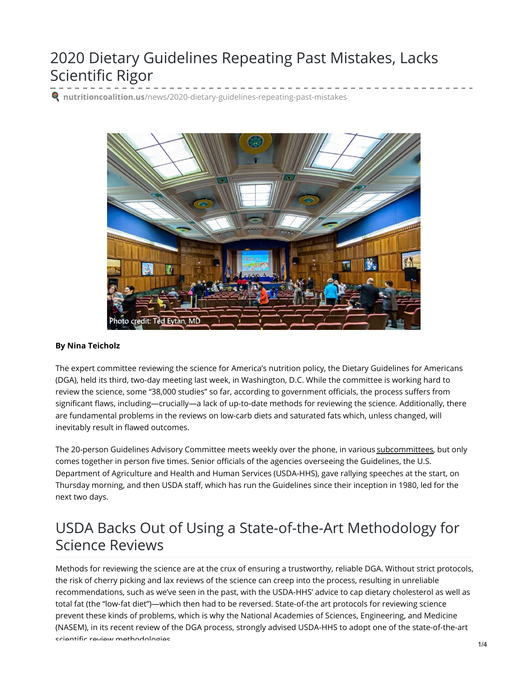## 2020 Dietary Guidelines Repeating Past Mistakes, Lacks Scientific Rigor

**nutritioncoalition.us**[/news/2020-dietary-guidelines-repeating-past-mistakes](https://www.nutritioncoalition.us/news/2020-dietary-guidelines-repeating-past-mistakes)



#### **By Nina Teicholz**

The expert committee reviewing the science for America's nutrition policy, the Dietary Guidelines for Americans (DGA), held its third, two-day meeting last week, in Washington, D.C. While the committee is working hard to review the science, some "38,000 studies" so far, according to government officials, the process suffers from significant flaws, including—crucially—a lack of up-to-date methods for reviewing the science. Additionally, there are fundamental problems in the reviews on low-carb diets and saturated fats which, unless changed, will inevitably result in flawed outcomes.

The 20-person Guidelines Advisory Committee meets weekly over the phone, in various [subcommittees](https://www.dietaryguidelines.gov/work-under-way/review-science/about-advisory-committee/2020-subcommittees), but only comes together in person five times. Senior officials of the agencies overseeing the Guidelines, the U.S. Department of Agriculture and Health and Human Services (USDA-HHS), gave rallying speeches at the start, on Thursday morning, and then USDA staff, which has run the Guidelines since their inception in 1980, led for the next two days.

#### USDA Backs Out of Using a State-of-the-Art Methodology for Science Reviews

Methods for reviewing the science are at the crux of ensuring a trustworthy, reliable DGA. Without strict protocols, the risk of cherry picking and lax reviews of the science can creep into the process, resulting in unreliable recommendations, such as we've seen in the past, with the USDA-HHS' advice to cap dietary cholesterol as well as total fat (the "low-fat diet")—which then had to be reversed. State-of-the art protocols for reviewing science prevent these kinds of problems, which is why the National Academies of Sciences, Engineering, and Medicine (NASEM), in its recent review of the DGA process, strongly advised USDA-HHS to adopt one of the state-of-the-art scientific review methodologies. 1/4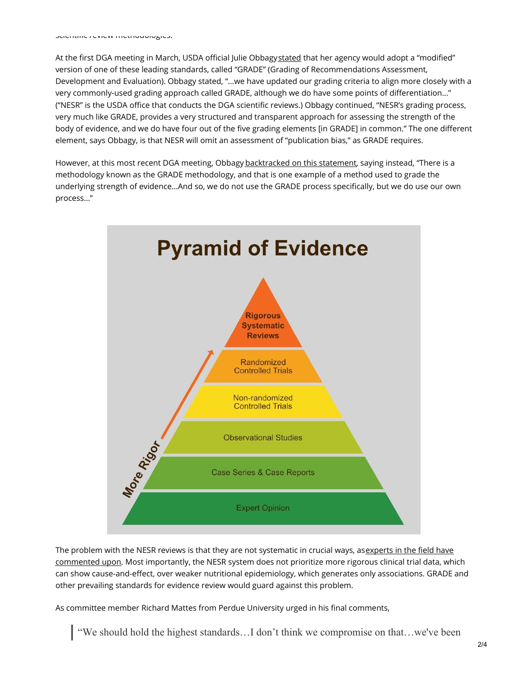At the first DGA meeting in March, USDA official Julie Obbagy[stated](https://youtu.be/BigM7_GyJw8?t=1920) that her agency would adopt a "modified" version of one of these leading standards, called "GRADE" (Grading of Recommendations Assessment, Development and Evaluation). Obbagy stated, "…we have updated our grading criteria to align more closely with a very commonly-used grading approach called GRADE, although we do have some points of differentiation…" ("NESR" is the USDA office that conducts the DGA scientific reviews.) Obbagy continued, "NESR's grading process, very much like GRADE, provides a very structured and transparent approach for assessing the strength of the body of evidence, and we do have four out of the five grading elements [in GRADE] in common." The one different element, says Obbagy, is that NESR will omit an assessment of "publication bias," as GRADE requires.

However, at this most recent DGA meeting, Obbagy [backtracked](https://youtu.be/x4SF4rcgYX4?t=3431) on this statement, saying instead, "There is a methodology known as the GRADE methodology, and that is one example of a method used to grade the underlying strength of evidence…And so, we do not use the GRADE process specifically, but we do use our own process…"



The problem with the NESR reviews is that they are not systematic in crucial ways, asexperts in the field have commented upon. Most [importantly,](https://www.regulations.gov/document?D=FNS-2019-0001-7056) the NESR system does not prioritize more rigorous clinical trial data, which can show cause-and-effect, over weaker nutritional epidemiology, which generates only associations. GRADE and other prevailing standards for evidence review would guard against this problem.

As committee member Richard Mattes from Perdue University urged in his final comments,

"We should hold the highest standards…I don't think we compromise on that…we've been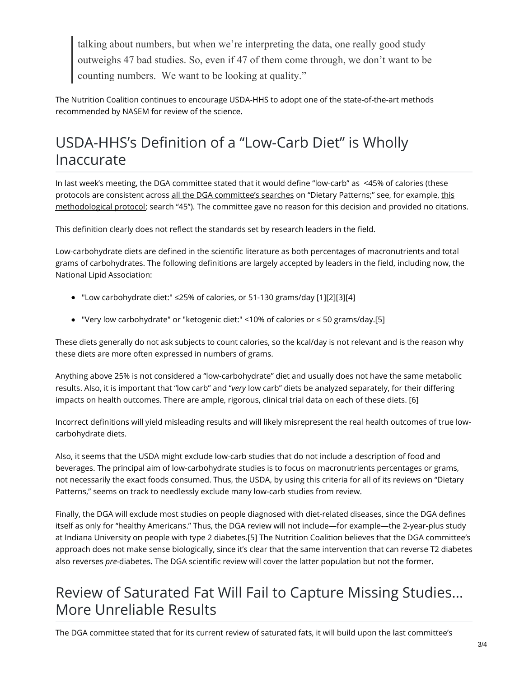talking about numbers, but when we're interpreting the data, one really good study outweighs 47 bad studies. So, even if 47 of them come through, we don't want to be counting numbers. We want to be looking at quality."

The Nutrition Coalition continues to encourage USDA-HHS to adopt one of the state-of-the-art methods recommended by NASEM for review of the science.

## USDA-HHS's Definition of a "Low-Carb Diet" is Wholly Inaccurate

In last week's meeting, the DGA committee stated that it would define "low-carb" as <45% of calories (these protocols are consistent across all the DGA [committee's](https://www.dietaryguidelines.gov/work-under-way/review-science/topics-and-questions-under-review#DietaryPatterns) searches on "Dietary Patterns;" see, for example, this [methodological](https://www.dietaryguidelines.gov/sites/default/files/2019-09/DP-ObesityProtocol-09-19-19.pdf) protocol; search "45"). The committee gave no reason for this decision and provided no citations.

This definition clearly does not reflect the standards set by research leaders in the field.

Low-carbohydrate diets are defined in the scientific literature as both percentages of macronutrients and total grams of carbohydrates. The following definitions are largely accepted by leaders in the field, including now, the National Lipid Association:

- "Low carbohydrate diet:" ≤25% of calories, or 51-130 grams/day [1][2][3][4]
- "Very low carbohydrate" or "ketogenic diet:" <10% of calories or ≤ 50 grams/day.[5]

These diets generally do not ask subjects to count calories, so the kcal/day is not relevant and is the reason why these diets are more often expressed in numbers of grams.

Anything above 25% is not considered a "low-carbohydrate" diet and usually does not have the same metabolic results. Also, it is important that "low carb" and "*very* low carb" diets be analyzed separately, for their differing impacts on health outcomes. There are ample, rigorous, clinical trial data on each of these diets. [6]

Incorrect definitions will yield misleading results and will likely misrepresent the real health outcomes of true lowcarbohydrate diets.

Also, it seems that the USDA might exclude low-carb studies that do not include a description of food and beverages. The principal aim of low-carbohydrate studies is to focus on macronutrients percentages or grams, not necessarily the exact foods consumed. Thus, the USDA, by using this criteria for all of its reviews on "Dietary Patterns," seems on track to needlessly exclude many low-carb studies from review.

Finally, the DGA will exclude most studies on people diagnosed with diet-related diseases, since the DGA defines itself as only for "healthy Americans." Thus, the DGA review will not include—for example—the 2-year-plus study at Indiana University on people with type 2 diabetes.[5] The Nutrition Coalition believes that the DGA committee's approach does not make sense biologically, since it's clear that the same intervention that can reverse T2 diabetes also reverses *pre-*diabetes. The DGA scientific review will cover the latter population but not the former.

## Review of Saturated Fat Will Fail to Capture Missing Studies… More Unreliable Results

The DGA committee stated that for its current review of saturated fats, it will build upon the last committee's